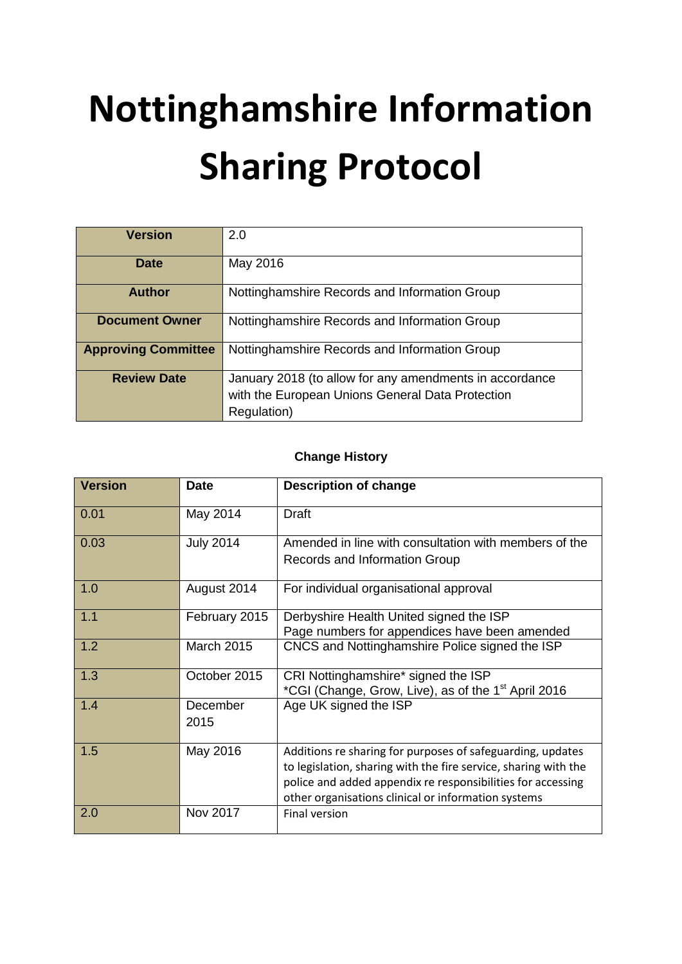# **Nottinghamshire Information Sharing Protocol**

| <b>Version</b>             | 2.0                                                     |
|----------------------------|---------------------------------------------------------|
| <b>Date</b>                | May 2016                                                |
| <b>Author</b>              | Nottinghamshire Records and Information Group           |
| <b>Document Owner</b>      | Nottinghamshire Records and Information Group           |
| <b>Approving Committee</b> | Nottinghamshire Records and Information Group           |
| <b>Review Date</b>         | January 2018 (to allow for any amendments in accordance |
|                            | with the European Unions General Data Protection        |
|                            | Regulation)                                             |

## **Change History**

| <b>Version</b> | <b>Date</b>       | <b>Description of change</b>                                                                                                                                                                                                                        |
|----------------|-------------------|-----------------------------------------------------------------------------------------------------------------------------------------------------------------------------------------------------------------------------------------------------|
| 0.01           | May 2014          | <b>Draft</b>                                                                                                                                                                                                                                        |
| 0.03           | <b>July 2014</b>  | Amended in line with consultation with members of the<br>Records and Information Group                                                                                                                                                              |
| 1.0            | August 2014       | For individual organisational approval                                                                                                                                                                                                              |
| 1.1            | February 2015     | Derbyshire Health United signed the ISP<br>Page numbers for appendices have been amended                                                                                                                                                            |
| 1.2            | <b>March 2015</b> | CNCS and Nottinghamshire Police signed the ISP                                                                                                                                                                                                      |
| 1.3            | October 2015      | CRI Nottinghamshire* signed the ISP<br>*CGI (Change, Grow, Live), as of the 1 <sup>st</sup> April 2016                                                                                                                                              |
| 1.4            | December<br>2015  | Age UK signed the ISP                                                                                                                                                                                                                               |
| 1.5            | May 2016          | Additions re sharing for purposes of safeguarding, updates<br>to legislation, sharing with the fire service, sharing with the<br>police and added appendix re responsibilities for accessing<br>other organisations clinical or information systems |
| 2.0            | Nov 2017          | <b>Final version</b>                                                                                                                                                                                                                                |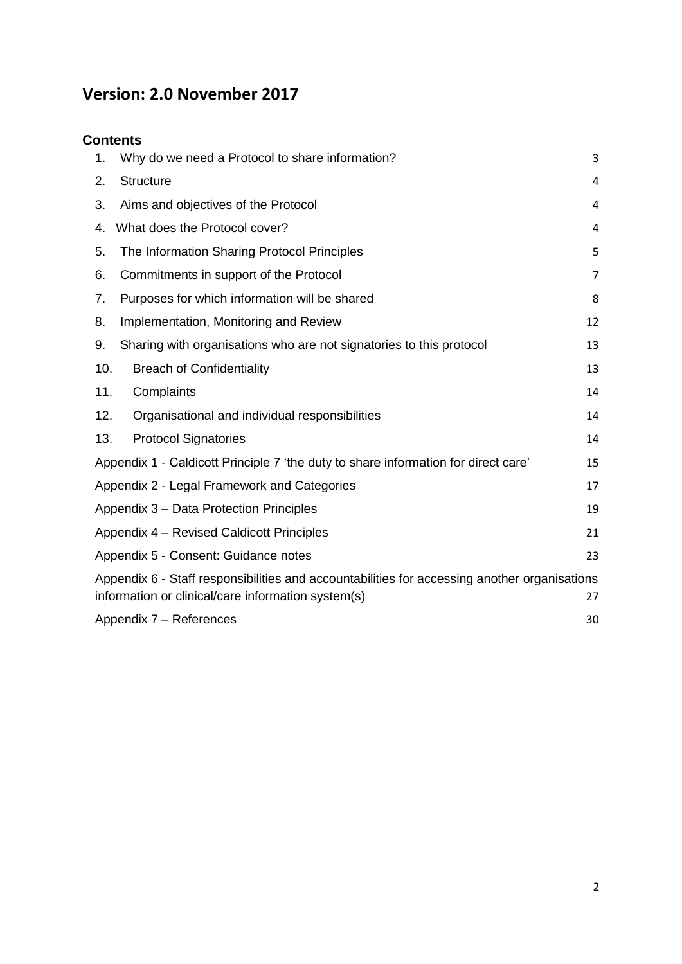# **Version: 2.0 November 2017**

# **Contents**

| 1.             | Why do we need a Protocol to share information?                                                                                                    |                |  |
|----------------|----------------------------------------------------------------------------------------------------------------------------------------------------|----------------|--|
| 2.             | <b>Structure</b>                                                                                                                                   | 4              |  |
| 3.             | Aims and objectives of the Protocol                                                                                                                |                |  |
| 4.             | What does the Protocol cover?                                                                                                                      | $\overline{4}$ |  |
| 5.             | The Information Sharing Protocol Principles                                                                                                        |                |  |
| 6.             | Commitments in support of the Protocol                                                                                                             |                |  |
| 7 <sub>1</sub> | Purposes for which information will be shared                                                                                                      | 8              |  |
| 8.             | Implementation, Monitoring and Review                                                                                                              | 12             |  |
| 9.             | Sharing with organisations who are not signatories to this protocol                                                                                | 13             |  |
| 10.            | <b>Breach of Confidentiality</b>                                                                                                                   | 13             |  |
| 11.            | Complaints                                                                                                                                         | 14             |  |
| 12.            | Organisational and individual responsibilities                                                                                                     | 14             |  |
| 13.            | <b>Protocol Signatories</b>                                                                                                                        | 14             |  |
|                | Appendix 1 - Caldicott Principle 7 'the duty to share information for direct care'                                                                 |                |  |
|                | Appendix 2 - Legal Framework and Categories                                                                                                        |                |  |
|                | Appendix 3 - Data Protection Principles                                                                                                            |                |  |
|                | Appendix 4 - Revised Caldicott Principles                                                                                                          |                |  |
|                | Appendix 5 - Consent: Guidance notes                                                                                                               | 23             |  |
|                | Appendix 6 - Staff responsibilities and accountabilities for accessing another organisations<br>information or clinical/care information system(s) | 27             |  |
|                | Appendix 7 - References                                                                                                                            |                |  |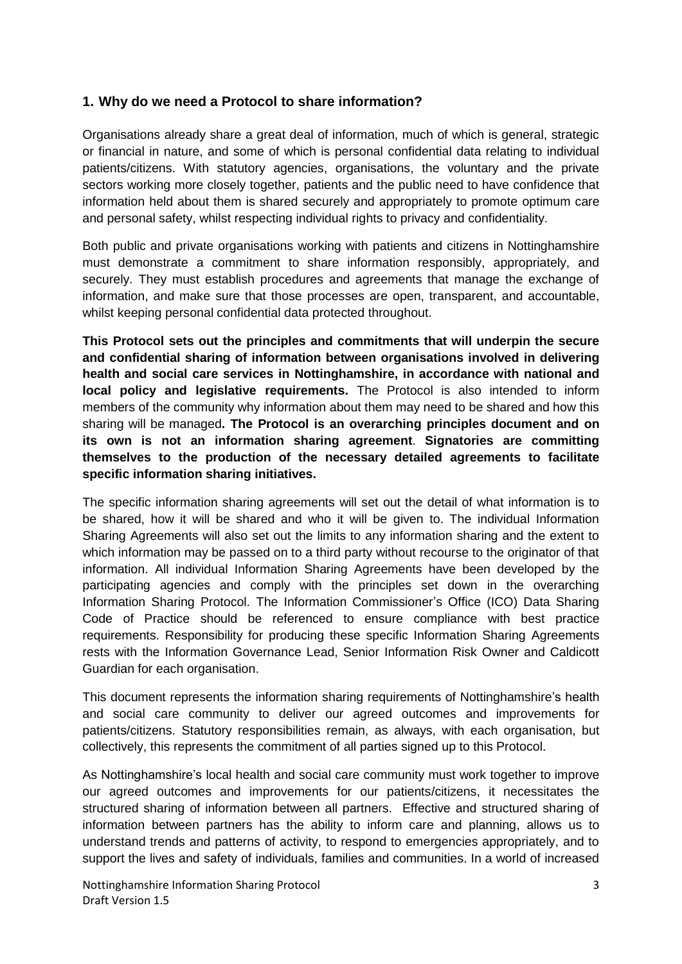# <span id="page-2-0"></span>**1. Why do we need a Protocol to share information?**

Organisations already share a great deal of information, much of which is general, strategic or financial in nature, and some of which is personal confidential data relating to individual patients/citizens. With statutory agencies, organisations, the voluntary and the private sectors working more closely together, patients and the public need to have confidence that information held about them is shared securely and appropriately to promote optimum care and personal safety, whilst respecting individual rights to privacy and confidentiality.

Both public and private organisations working with patients and citizens in Nottinghamshire must demonstrate a commitment to share information responsibly, appropriately, and securely. They must establish procedures and agreements that manage the exchange of information, and make sure that those processes are open, transparent, and accountable, whilst keeping personal confidential data protected throughout.

**This Protocol sets out the principles and commitments that will underpin the secure and confidential sharing of information between organisations involved in delivering health and social care services in Nottinghamshire, in accordance with national and local policy and legislative requirements.** The Protocol is also intended to inform members of the community why information about them may need to be shared and how this sharing will be managed**. The Protocol is an overarching principles document and on its own is not an information sharing agreement**. **Signatories are committing themselves to the production of the necessary detailed agreements to facilitate specific information sharing initiatives.**

The specific information sharing agreements will set out the detail of what information is to be shared, how it will be shared and who it will be given to. The individual Information Sharing Agreements will also set out the limits to any information sharing and the extent to which information may be passed on to a third party without recourse to the originator of that information. All individual Information Sharing Agreements have been developed by the participating agencies and comply with the principles set down in the overarching Information Sharing Protocol. The Information Commissioner's Office (ICO) Data Sharing Code of Practice should be referenced to ensure compliance with best practice requirements. Responsibility for producing these specific Information Sharing Agreements rests with the Information Governance Lead, Senior Information Risk Owner and Caldicott Guardian for each organisation.

This document represents the information sharing requirements of Nottinghamshire's health and social care community to deliver our agreed outcomes and improvements for patients/citizens. Statutory responsibilities remain, as always, with each organisation, but collectively, this represents the commitment of all parties signed up to this Protocol.

As Nottinghamshire's local health and social care community must work together to improve our agreed outcomes and improvements for our patients/citizens, it necessitates the structured sharing of information between all partners. Effective and structured sharing of information between partners has the ability to inform care and planning, allows us to understand trends and patterns of activity, to respond to emergencies appropriately, and to support the lives and safety of individuals, families and communities. In a world of increased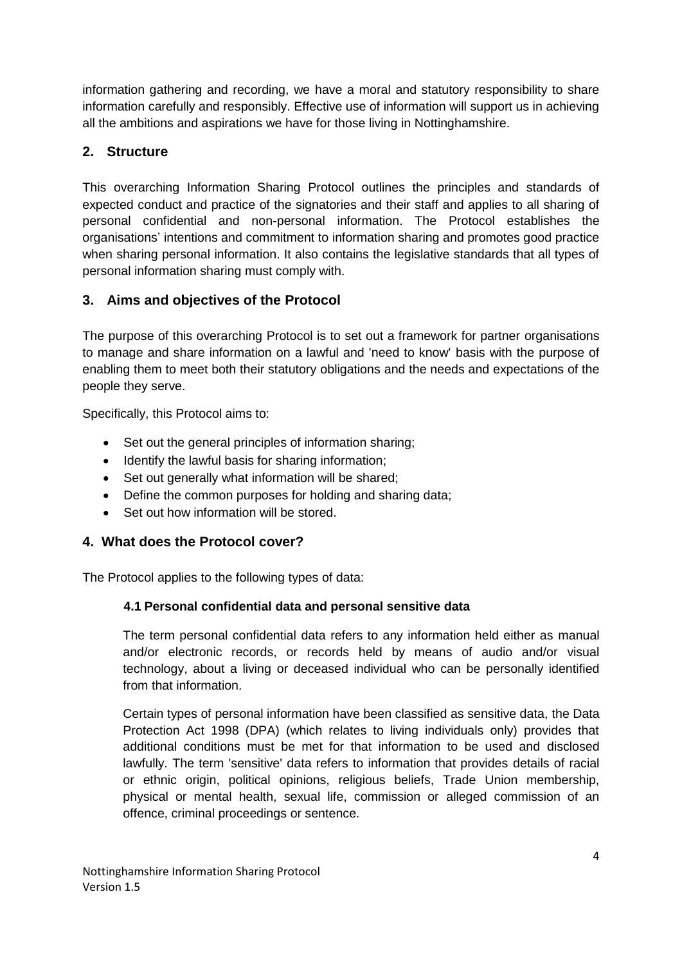information gathering and recording, we have a moral and statutory responsibility to share information carefully and responsibly. Effective use of information will support us in achieving all the ambitions and aspirations we have for those living in Nottinghamshire.

# <span id="page-3-0"></span>**2. Structure**

This overarching Information Sharing Protocol outlines the principles and standards of expected conduct and practice of the signatories and their staff and applies to all sharing of personal confidential and non-personal information. The Protocol establishes the organisations' intentions and commitment to information sharing and promotes good practice when sharing personal information. It also contains the legislative standards that all types of personal information sharing must comply with.

# <span id="page-3-1"></span>**3. Aims and objectives of the Protocol**

The purpose of this overarching Protocol is to set out a framework for partner organisations to manage and share information on a lawful and 'need to know' basis with the purpose of enabling them to meet both their statutory obligations and the needs and expectations of the people they serve.

Specifically, this Protocol aims to:

- Set out the general principles of information sharing;
- Identify the lawful basis for sharing information:
- Set out generally what information will be shared;
- Define the common purposes for holding and sharing data;
- Set out how information will be stored.

# <span id="page-3-2"></span>**4. What does the Protocol cover?**

The Protocol applies to the following types of data:

## **4.1 Personal confidential data and personal sensitive data**

The term personal confidential data refers to any information held either as manual and/or electronic records, or records held by means of audio and/or visual technology, about a living or deceased individual who can be personally identified from that information.

Certain types of personal information have been classified as sensitive data, the Data Protection Act 1998 (DPA) (which relates to living individuals only) provides that additional conditions must be met for that information to be used and disclosed lawfully. The term 'sensitive' data refers to information that provides details of racial or ethnic origin, political opinions, religious beliefs, Trade Union membership, physical or mental health, sexual life, commission or alleged commission of an offence, criminal proceedings or sentence.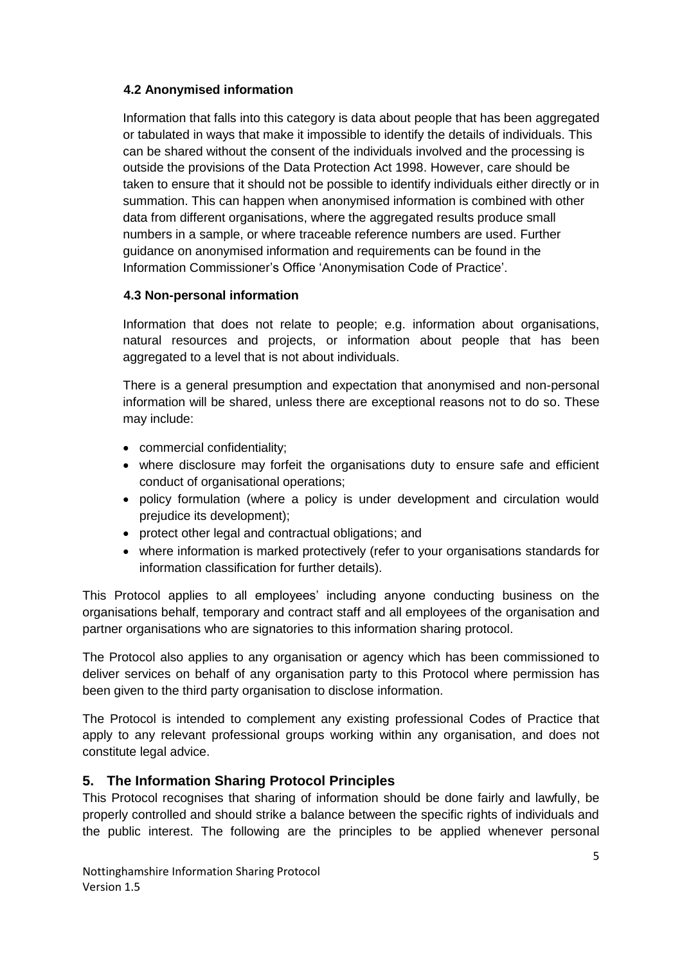## **4.2 Anonymised information**

Information that falls into this category is data about people that has been aggregated or tabulated in ways that make it impossible to identify the details of individuals. This can be shared without the consent of the individuals involved and the processing is outside the provisions of the Data Protection Act 1998. However, care should be taken to ensure that it should not be possible to identify individuals either directly or in summation. This can happen when anonymised information is combined with other data from different organisations, where the aggregated results produce small numbers in a sample, or where traceable reference numbers are used. Further guidance on anonymised information and requirements can be found in the Information Commissioner's Office 'Anonymisation Code of Practice'.

# **4.3 Non-personal information**

Information that does not relate to people; e.g. information about organisations, natural resources and projects, or information about people that has been aggregated to a level that is not about individuals.

There is a general presumption and expectation that anonymised and non-personal information will be shared, unless there are exceptional reasons not to do so. These may include:

- commercial confidentiality;
- where disclosure may forfeit the organisations duty to ensure safe and efficient conduct of organisational operations;
- policy formulation (where a policy is under development and circulation would prejudice its development);
- protect other legal and contractual obligations; and
- where information is marked protectively (refer to your organisations standards for information classification for further details).

This Protocol applies to all employees' including anyone conducting business on the organisations behalf, temporary and contract staff and all employees of the organisation and partner organisations who are signatories to this information sharing protocol.

The Protocol also applies to any organisation or agency which has been commissioned to deliver services on behalf of any organisation party to this Protocol where permission has been given to the third party organisation to disclose information.

The Protocol is intended to complement any existing professional Codes of Practice that apply to any relevant professional groups working within any organisation, and does not constitute legal advice.

# <span id="page-4-0"></span>**5. The Information Sharing Protocol Principles**

This Protocol recognises that sharing of information should be done fairly and lawfully, be properly controlled and should strike a balance between the specific rights of individuals and the public interest. The following are the principles to be applied whenever personal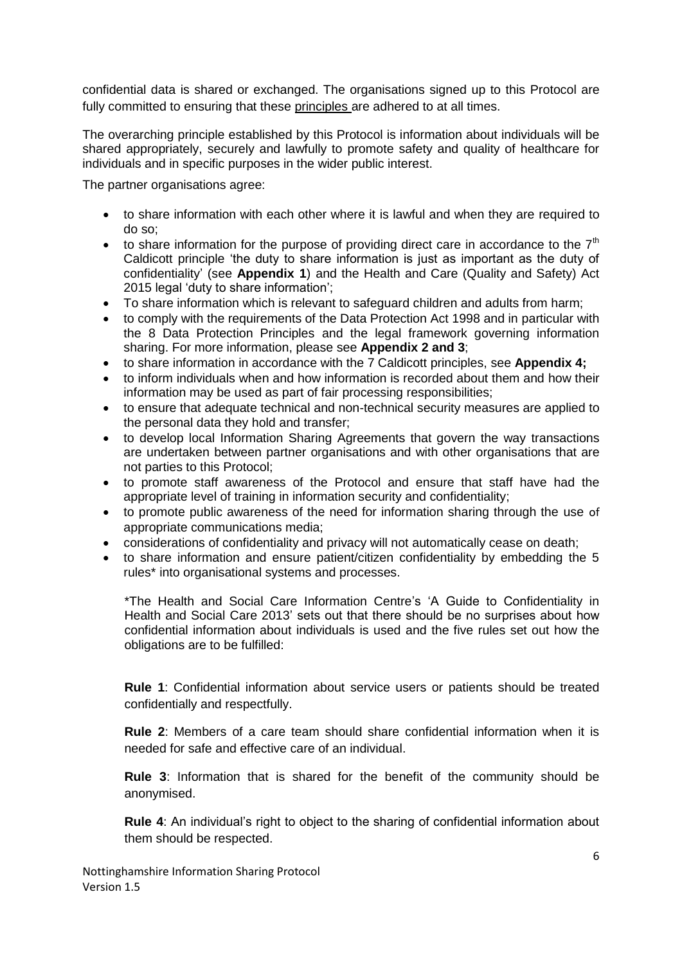confidential data is shared or exchanged. The organisations signed up to this Protocol are fully committed to ensuring that these principles are adhered to at all times.

The overarching principle established by this Protocol is information about individuals will be shared appropriately, securely and lawfully to promote safety and quality of healthcare for individuals and in specific purposes in the wider public interest.

The partner organisations agree:

- to share information with each other where it is lawful and when they are required to do so;
- $\bullet$  to share information for the purpose of providing direct care in accordance to the  $7<sup>th</sup>$ Caldicott principle 'the duty to share information is just as important as the duty of confidentiality' (see **Appendix 1**) and the Health and Care (Quality and Safety) Act 2015 legal 'duty to share information';
- To share information which is relevant to safeguard children and adults from harm;
- to comply with the requirements of the Data Protection Act 1998 and in particular with the 8 Data Protection Principles and the legal framework governing information sharing. For more information, please see **Appendix 2 and 3**;
- to share information in accordance with the 7 Caldicott principles, see **Appendix 4;**
- to inform individuals when and how information is recorded about them and how their information may be used as part of fair processing responsibilities;
- to ensure that adequate technical and non-technical security measures are applied to the personal data they hold and transfer;
- to develop local Information Sharing Agreements that govern the way transactions are undertaken between partner organisations and with other organisations that are not parties to this Protocol;
- to promote staff awareness of the Protocol and ensure that staff have had the appropriate level of training in information security and confidentiality;
- to promote public awareness of the need for information sharing through the use of appropriate communications media;
- considerations of confidentiality and privacy will not automatically cease on death;
- to share information and ensure patient/citizen confidentiality by embedding the 5 rules\* into organisational systems and processes.

\*The Health and Social Care Information Centre's 'A Guide to Confidentiality in Health and Social Care 2013' sets out that there should be no surprises about how confidential information about individuals is used and the five rules set out how the obligations are to be fulfilled:

**Rule 1**: Confidential information about service users or patients should be treated confidentially and respectfully.

**Rule 2**: Members of a care team should share confidential information when it is needed for safe and effective care of an individual.

**Rule 3**: Information that is shared for the benefit of the community should be anonymised.

**Rule 4**: An individual's right to object to the sharing of confidential information about them should be respected.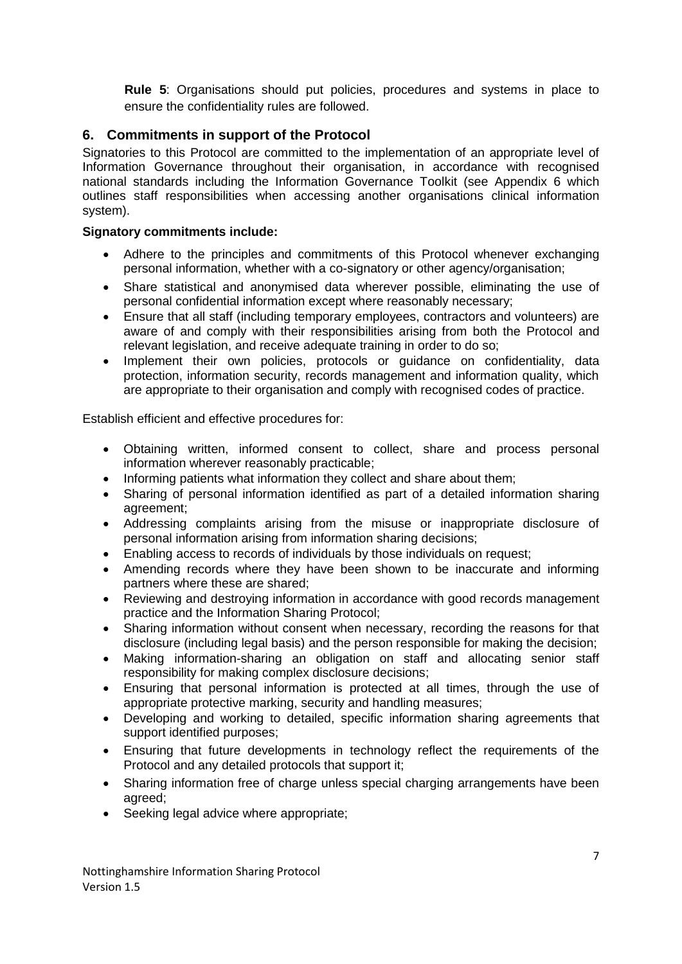**Rule 5**: Organisations should put policies, procedures and systems in place to ensure the confidentiality rules are followed.

# <span id="page-6-0"></span>**6. Commitments in support of the Protocol**

Signatories to this Protocol are committed to the implementation of an appropriate level of Information Governance throughout their organisation, in accordance with recognised national standards including the Information Governance Toolkit (see Appendix 6 which outlines staff responsibilities when accessing another organisations clinical information system).

## **Signatory commitments include:**

- Adhere to the principles and commitments of this Protocol whenever exchanging personal information, whether with a co-signatory or other agency/organisation;
- Share statistical and anonymised data wherever possible, eliminating the use of personal confidential information except where reasonably necessary;
- Ensure that all staff (including temporary employees, contractors and volunteers) are aware of and comply with their responsibilities arising from both the Protocol and relevant legislation, and receive adequate training in order to do so;
- Implement their own policies, protocols or quidance on confidentiality, data protection, information security, records management and information quality, which are appropriate to their organisation and comply with recognised codes of practice.

Establish efficient and effective procedures for:

- Obtaining written, informed consent to collect, share and process personal information wherever reasonably practicable;
- Informing patients what information they collect and share about them;
- Sharing of personal information identified as part of a detailed information sharing agreement;
- Addressing complaints arising from the misuse or inappropriate disclosure of personal information arising from information sharing decisions;
- Enabling access to records of individuals by those individuals on request;
- Amending records where they have been shown to be inaccurate and informing partners where these are shared;
- Reviewing and destroying information in accordance with good records management practice and the Information Sharing Protocol;
- Sharing information without consent when necessary, recording the reasons for that disclosure (including legal basis) and the person responsible for making the decision;
- Making information-sharing an obligation on staff and allocating senior staff responsibility for making complex disclosure decisions;
- Ensuring that personal information is protected at all times, through the use of appropriate protective marking, security and handling measures;
- Developing and working to detailed, specific information sharing agreements that support identified purposes;
- Ensuring that future developments in technology reflect the requirements of the Protocol and any detailed protocols that support it;
- Sharing information free of charge unless special charging arrangements have been agreed;
- Seeking legal advice where appropriate;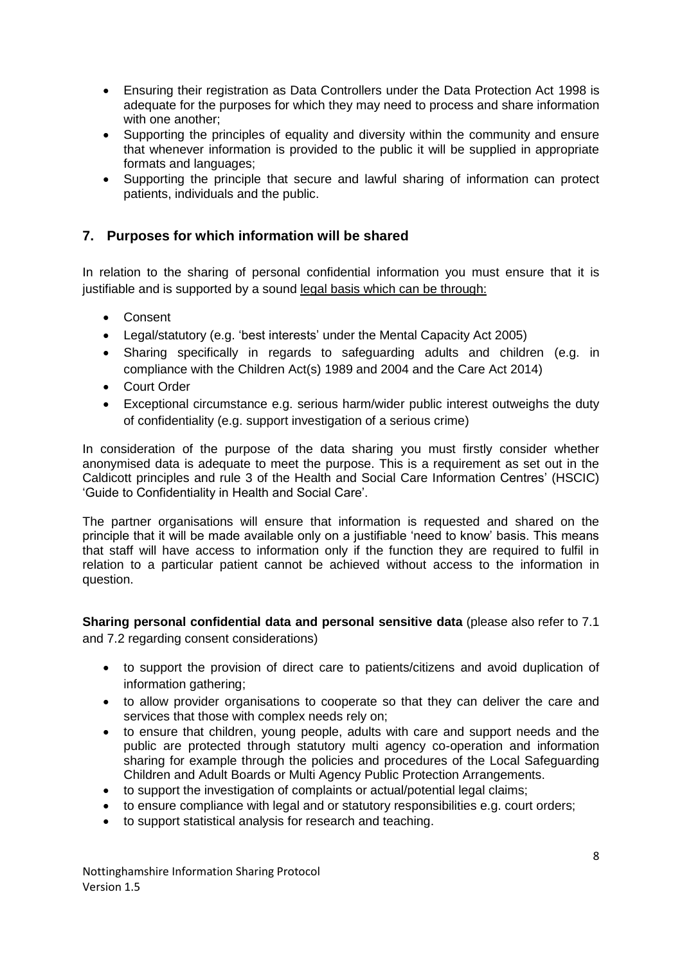- Ensuring their registration as Data Controllers under the Data Protection Act 1998 is adequate for the purposes for which they may need to process and share information with one another;
- Supporting the principles of equality and diversity within the community and ensure that whenever information is provided to the public it will be supplied in appropriate formats and languages;
- Supporting the principle that secure and lawful sharing of information can protect patients, individuals and the public.

# <span id="page-7-0"></span>**7. Purposes for which information will be shared**

In relation to the sharing of personal confidential information you must ensure that it is justifiable and is supported by a sound legal basis which can be through:

- Consent
- Legal/statutory (e.g. 'best interests' under the Mental Capacity Act 2005)
- Sharing specifically in regards to safeguarding adults and children (e.g. in compliance with the Children Act(s) 1989 and 2004 and the Care Act 2014)
- Court Order
- Exceptional circumstance e.g. serious harm/wider public interest outweighs the duty of confidentiality (e.g. support investigation of a serious crime)

In consideration of the purpose of the data sharing you must firstly consider whether anonymised data is adequate to meet the purpose. This is a requirement as set out in the Caldicott principles and rule 3 of the Health and Social Care Information Centres' (HSCIC) 'Guide to Confidentiality in Health and Social Care'.

The partner organisations will ensure that information is requested and shared on the principle that it will be made available only on a justifiable 'need to know' basis. This means that staff will have access to information only if the function they are required to fulfil in relation to a particular patient cannot be achieved without access to the information in question.

**Sharing personal confidential data and personal sensitive data** (please also refer to 7.1 and 7.2 regarding consent considerations)

- to support the provision of direct care to patients/citizens and avoid duplication of information gathering;
- to allow provider organisations to cooperate so that they can deliver the care and services that those with complex needs rely on;
- to ensure that children, young people, adults with care and support needs and the public are protected through statutory multi agency co-operation and information sharing for example through the policies and procedures of the Local Safeguarding Children and Adult Boards or Multi Agency Public Protection Arrangements.
- to support the investigation of complaints or actual/potential legal claims;
- to ensure compliance with legal and or statutory responsibilities e.g. court orders;
- to support statistical analysis for research and teaching.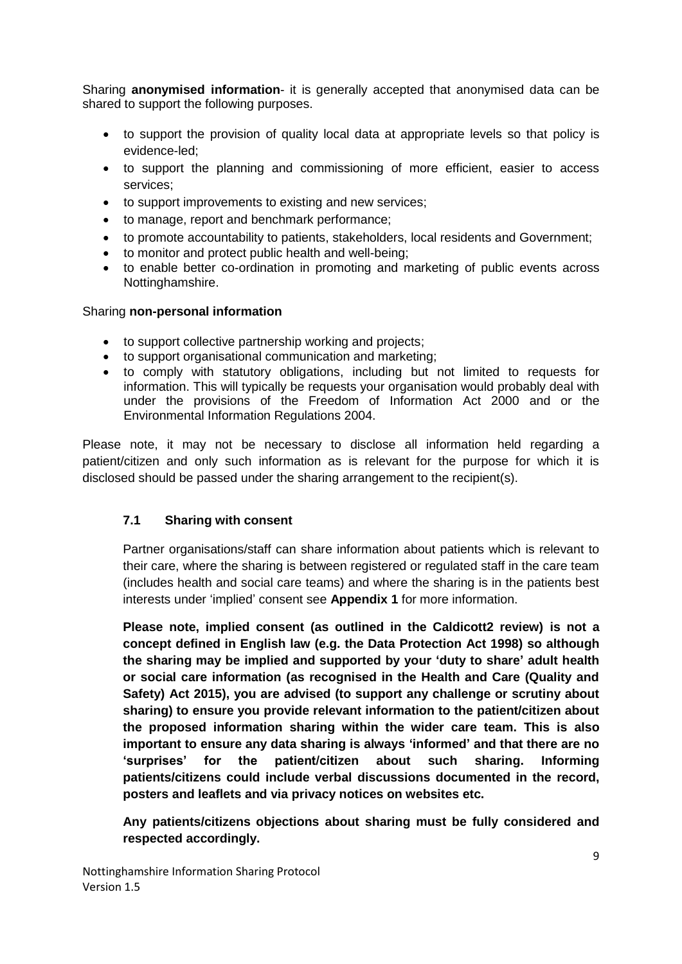Sharing **anonymised information**- it is generally accepted that anonymised data can be shared to support the following purposes.

- to support the provision of quality local data at appropriate levels so that policy is evidence-led;
- to support the planning and commissioning of more efficient, easier to access services;
- to support improvements to existing and new services;
- to manage, report and benchmark performance;
- to promote accountability to patients, stakeholders, local residents and Government;
- to monitor and protect public health and well-being;
- to enable better co-ordination in promoting and marketing of public events across Nottinghamshire.

## Sharing **non-personal information**

- to support collective partnership working and projects;
- to support organisational communication and marketing;
- to comply with statutory obligations, including but not limited to requests for information. This will typically be requests your organisation would probably deal with under the provisions of the Freedom of Information Act 2000 and or the Environmental Information Regulations 2004.

Please note, it may not be necessary to disclose all information held regarding a patient/citizen and only such information as is relevant for the purpose for which it is disclosed should be passed under the sharing arrangement to the recipient(s).

## **7.1 Sharing with consent**

Partner organisations/staff can share information about patients which is relevant to their care, where the sharing is between registered or regulated staff in the care team (includes health and social care teams) and where the sharing is in the patients best interests under 'implied' consent see **Appendix 1** for more information.

**Please note, implied consent (as outlined in the Caldicott2 review) is not a concept defined in English law (e.g. the Data Protection Act 1998) so although the sharing may be implied and supported by your 'duty to share' adult health or social care information (as recognised in the Health and Care (Quality and Safety) Act 2015), you are advised (to support any challenge or scrutiny about sharing) to ensure you provide relevant information to the patient/citizen about the proposed information sharing within the wider care team. This is also important to ensure any data sharing is always 'informed' and that there are no 'surprises' for the patient/citizen about such sharing. Informing patients/citizens could include verbal discussions documented in the record, posters and leaflets and via privacy notices on websites etc.**

**Any patients/citizens objections about sharing must be fully considered and respected accordingly.**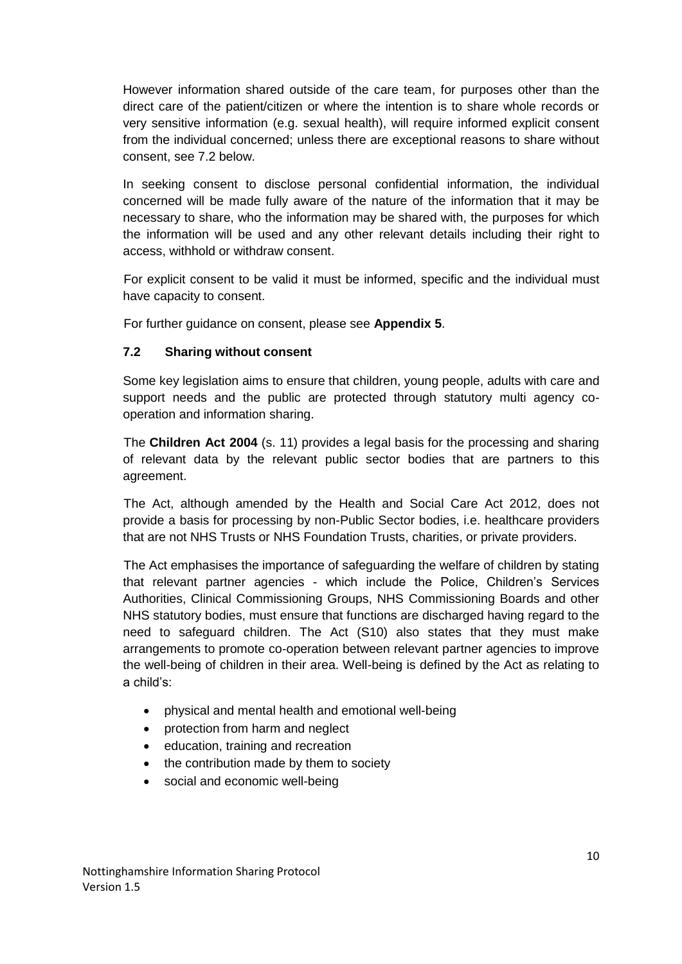However information shared outside of the care team, for purposes other than the direct care of the patient/citizen or where the intention is to share whole records or very sensitive information (e.g. sexual health), will require informed explicit consent from the individual concerned; unless there are exceptional reasons to share without consent, see 7.2 below.

In seeking consent to disclose personal confidential information, the individual concerned will be made fully aware of the nature of the information that it may be necessary to share, who the information may be shared with, the purposes for which the information will be used and any other relevant details including their right to access, withhold or withdraw consent.

For explicit consent to be valid it must be informed, specific and the individual must have capacity to consent.

For further guidance on consent, please see **Appendix 5**.

## **7.2 Sharing without consent**

Some key legislation aims to ensure that children, young people, adults with care and support needs and the public are protected through statutory multi agency cooperation and information sharing.

The **Children Act 2004** (s. 11) provides a legal basis for the processing and sharing of relevant data by the relevant public sector bodies that are partners to this agreement.

The Act, although amended by the Health and Social Care Act 2012, does not provide a basis for processing by non-Public Sector bodies, i.e. healthcare providers that are not NHS Trusts or NHS Foundation Trusts, charities, or private providers.

The Act emphasises the importance of safeguarding the welfare of children by stating that relevant partner agencies - which include the Police, Children's Services Authorities, Clinical Commissioning Groups, NHS Commissioning Boards and other NHS statutory bodies, must ensure that functions are discharged having regard to the need to safeguard children. The Act (S10) also states that they must make arrangements to promote co-operation between relevant partner agencies to improve the well-being of children in their area. Well-being is defined by the Act as relating to a child's:

- physical and mental health and emotional well-being
- protection from harm and neglect
- education, training and recreation
- the contribution made by them to society
- social and economic well-being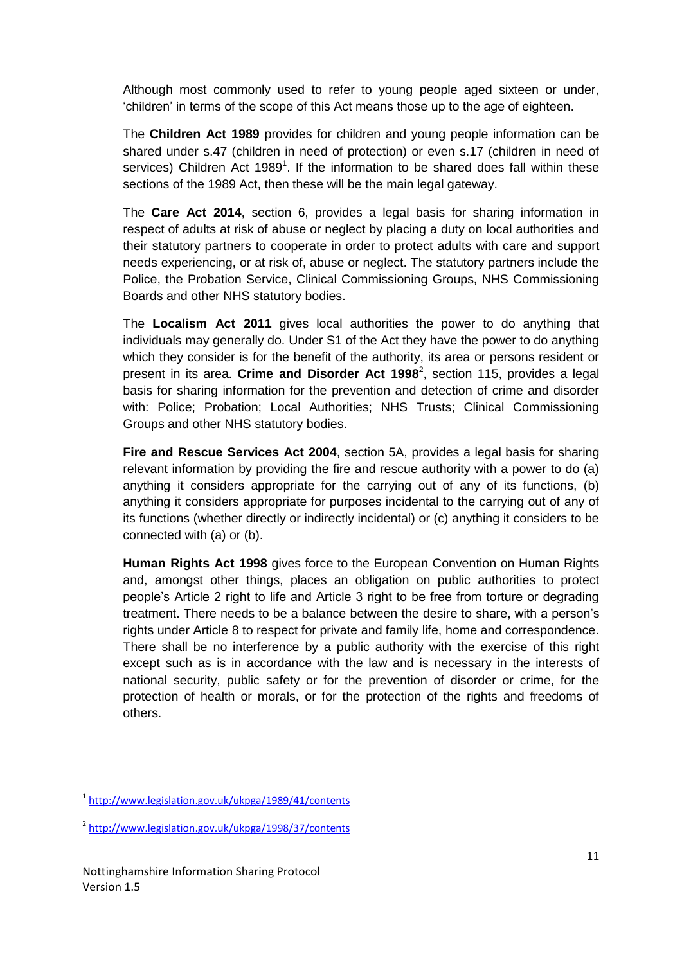Although most commonly used to refer to young people aged sixteen or under, 'children' in terms of the scope of this Act means those up to the age of eighteen.

The **Children Act 1989** provides for children and young people information can be shared under s.47 (children in need of protection) or even s.17 (children in need of services) Children Act 1989<sup>1</sup>. If the information to be shared does fall within these sections of the 1989 Act, then these will be the main legal gateway.

The **Care Act 2014**, section 6, provides a legal basis for sharing information in respect of adults at risk of abuse or neglect by placing a duty on local authorities and their statutory partners to cooperate in order to protect adults with care and support needs experiencing, or at risk of, abuse or neglect. The statutory partners include the Police, the Probation Service, Clinical Commissioning Groups, NHS Commissioning Boards and other NHS statutory bodies.

The **Localism Act 2011** gives local authorities the power to do anything that individuals may generally do. Under S1 of the Act they have the power to do anything which they consider is for the benefit of the authority, its area or persons resident or present in its area. Crime and Disorder Act 1998<sup>2</sup>, section 115, provides a legal basis for sharing information for the prevention and detection of crime and disorder with: Police; Probation; Local Authorities; NHS Trusts; Clinical Commissioning Groups and other NHS statutory bodies.

**Fire and Rescue Services Act 2004**, section 5A, provides a legal basis for sharing relevant information by providing the fire and rescue authority with a power to do (a) anything it considers appropriate for the carrying out of any of its functions, (b) anything it considers appropriate for purposes incidental to the carrying out of any of its functions (whether directly or indirectly incidental) or (c) anything it considers to be connected with (a) or (b).

**Human Rights Act 1998** gives force to the European Convention on Human Rights and, amongst other things, places an obligation on public authorities to protect people's Article 2 right to life and Article 3 right to be free from torture or degrading treatment. There needs to be a balance between the desire to share, with a person's rights under Article 8 to respect for private and family life, home and correspondence. There shall be no interference by a public authority with the exercise of this right except such as is in accordance with the law and is necessary in the interests of national security, public safety or for the prevention of disorder or crime, for the protection of health or morals, or for the protection of the rights and freedoms of others.

 $\overline{a}$ 

<sup>1</sup> <http://www.legislation.gov.uk/ukpga/1989/41/contents>

<sup>&</sup>lt;sup>2</sup> <http://www.legislation.gov.uk/ukpga/1998/37/contents>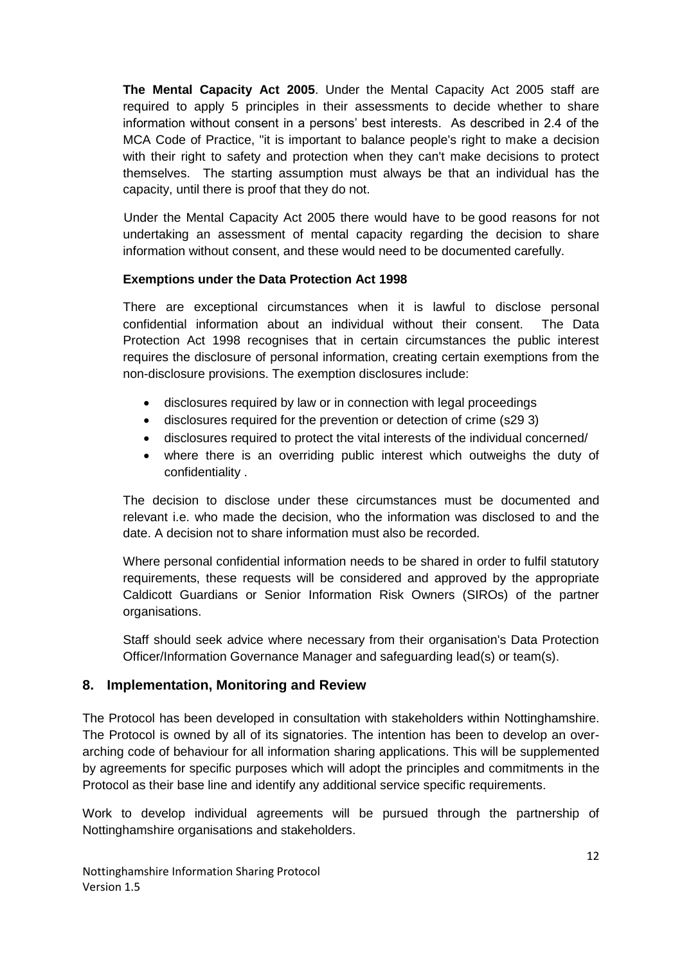**The Mental Capacity Act 2005**. Under the Mental Capacity Act 2005 staff are required to apply 5 principles in their assessments to decide whether to share information without consent in a persons' best interests. As described in 2.4 of the MCA Code of Practice, "it is important to balance people's right to make a decision with their right to safety and protection when they can't make decisions to protect themselves. The starting assumption must always be that an individual has the capacity, until there is proof that they do not.

Under the Mental Capacity Act 2005 there would have to be good reasons for not undertaking an assessment of mental capacity regarding the decision to share information without consent, and these would need to be documented carefully.

## **Exemptions under the Data Protection Act 1998**

There are exceptional circumstances when it is lawful to disclose personal confidential information about an individual without their consent. The Data Protection Act 1998 recognises that in certain circumstances the public interest requires the disclosure of personal information, creating certain exemptions from the non-disclosure provisions. The exemption disclosures include:

- disclosures required by law or in connection with legal proceedings
- disclosures required for the prevention or detection of crime (s29 3)
- disclosures required to protect the vital interests of the individual concerned/
- where there is an overriding public interest which outweighs the duty of confidentiality .

The decision to disclose under these circumstances must be documented and relevant i.e. who made the decision, who the information was disclosed to and the date. A decision not to share information must also be recorded.

Where personal confidential information needs to be shared in order to fulfil statutory requirements, these requests will be considered and approved by the appropriate Caldicott Guardians or Senior Information Risk Owners (SIROs) of the partner organisations.

Staff should seek advice where necessary from their organisation's Data Protection Officer/Information Governance Manager and safeguarding lead(s) or team(s).

# <span id="page-11-0"></span>**8. Implementation, Monitoring and Review**

The Protocol has been developed in consultation with stakeholders within Nottinghamshire. The Protocol is owned by all of its signatories. The intention has been to develop an overarching code of behaviour for all information sharing applications. This will be supplemented by agreements for specific purposes which will adopt the principles and commitments in the Protocol as their base line and identify any additional service specific requirements.

Work to develop individual agreements will be pursued through the partnership of Nottinghamshire organisations and stakeholders.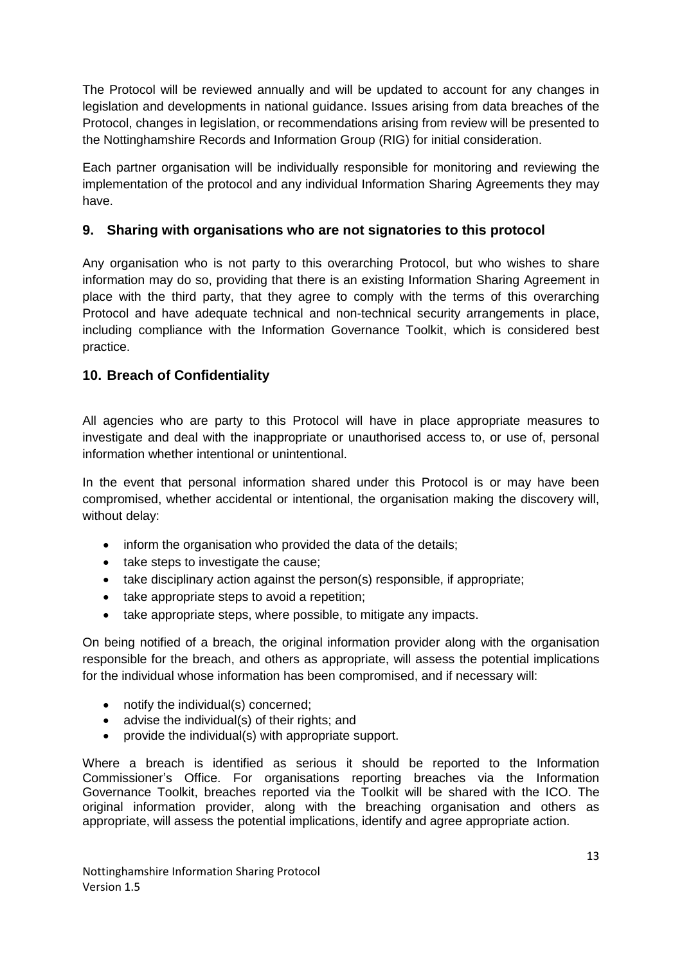The Protocol will be reviewed annually and will be updated to account for any changes in legislation and developments in national guidance. Issues arising from data breaches of the Protocol, changes in legislation, or recommendations arising from review will be presented to the Nottinghamshire Records and Information Group (RIG) for initial consideration.

Each partner organisation will be individually responsible for monitoring and reviewing the implementation of the protocol and any individual Information Sharing Agreements they may have.

# <span id="page-12-0"></span>**9. Sharing with organisations who are not signatories to this protocol**

Any organisation who is not party to this overarching Protocol, but who wishes to share information may do so, providing that there is an existing Information Sharing Agreement in place with the third party, that they agree to comply with the terms of this overarching Protocol and have adequate technical and non-technical security arrangements in place, including compliance with the Information Governance Toolkit, which is considered best practice.

# <span id="page-12-1"></span>**10. Breach of Confidentiality**

All agencies who are party to this Protocol will have in place appropriate measures to investigate and deal with the inappropriate or unauthorised access to, or use of, personal information whether intentional or unintentional.

In the event that personal information shared under this Protocol is or may have been compromised, whether accidental or intentional, the organisation making the discovery will, without delay:

- inform the organisation who provided the data of the details;
- take steps to investigate the cause;
- take disciplinary action against the person(s) responsible, if appropriate;
- take appropriate steps to avoid a repetition;
- take appropriate steps, where possible, to mitigate any impacts.

On being notified of a breach, the original information provider along with the organisation responsible for the breach, and others as appropriate, will assess the potential implications for the individual whose information has been compromised, and if necessary will:

- notify the individual(s) concerned;
- advise the individual(s) of their rights: and
- provide the individual(s) with appropriate support.

Where a breach is identified as serious it should be reported to the Information Commissioner's Office. For organisations reporting breaches via the Information Governance Toolkit, breaches reported via the Toolkit will be shared with the ICO. The original information provider, along with the breaching organisation and others as appropriate, will assess the potential implications, identify and agree appropriate action.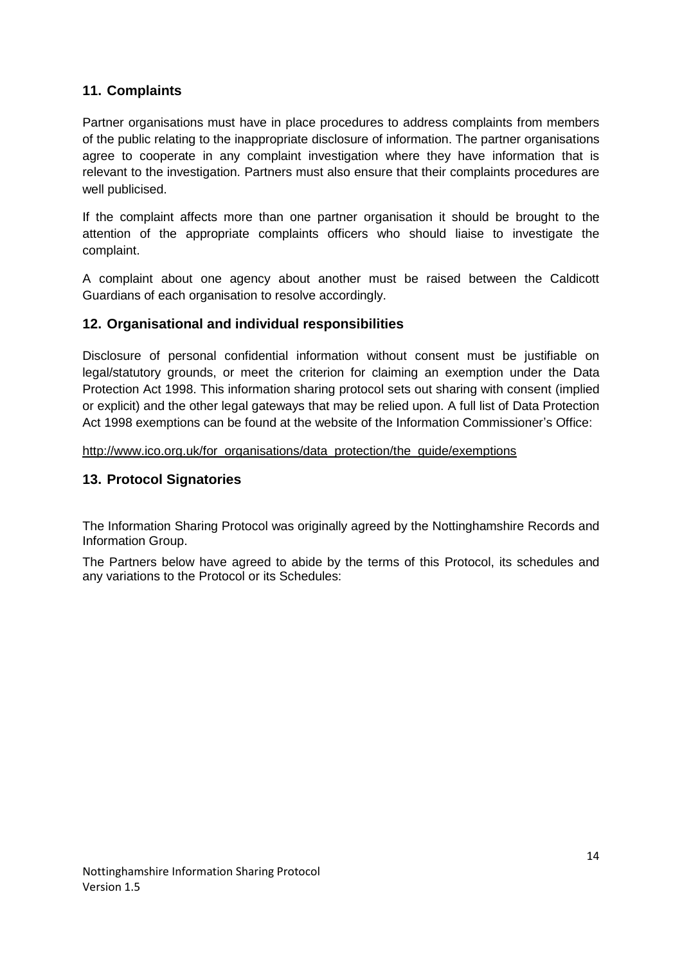# <span id="page-13-0"></span>**11. Complaints**

Partner organisations must have in place procedures to address complaints from members of the public relating to the inappropriate disclosure of information. The partner organisations agree to cooperate in any complaint investigation where they have information that is relevant to the investigation. Partners must also ensure that their complaints procedures are well publicised.

If the complaint affects more than one partner organisation it should be brought to the attention of the appropriate complaints officers who should liaise to investigate the complaint.

A complaint about one agency about another must be raised between the Caldicott Guardians of each organisation to resolve accordingly.

# <span id="page-13-1"></span>**12. Organisational and individual responsibilities**

Disclosure of personal confidential information without consent must be justifiable on legal/statutory grounds, or meet the criterion for claiming an exemption under the Data Protection Act 1998. This information sharing protocol sets out sharing with consent (implied or explicit) and the other legal gateways that may be relied upon. A full list of Data Protection Act 1998 exemptions can be found at the website of the Information Commissioner's Office:

[http://www.ico.org.uk/for\\_organisations/data\\_protection/the\\_guide/exemptions](http://www.ico.org.uk/for_organisations/data_protection/the_guide/exemptions)

# <span id="page-13-2"></span>**13. Protocol Signatories**

The Information Sharing Protocol was originally agreed by the Nottinghamshire Records and Information Group.

The Partners below have agreed to abide by the terms of this Protocol, its schedules and any variations to the Protocol or its Schedules: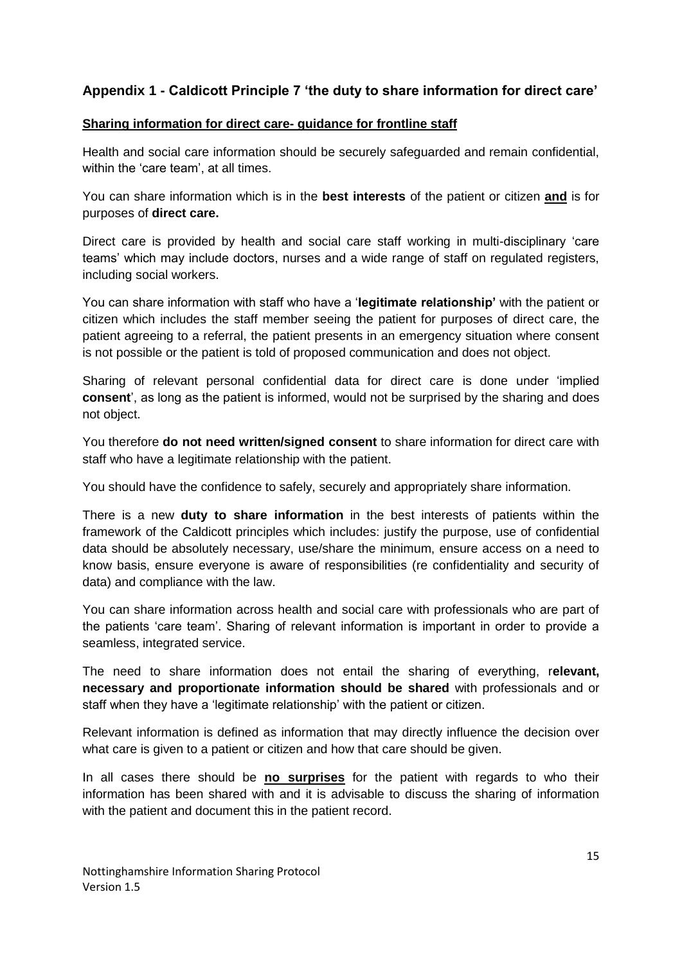# <span id="page-14-0"></span>**Appendix 1 - Caldicott Principle 7 'the duty to share information for direct care'**

## **Sharing information for direct care- guidance for frontline staff**

Health and social care information should be securely safeguarded and remain confidential, within the 'care team', at all times.

You can share information which is in the **best interests** of the patient or citizen **and** is for purposes of **direct care.**

Direct care is provided by health and social care staff working in multi-disciplinary 'care teams' which may include doctors, nurses and a wide range of staff on regulated registers, including social workers.

You can share information with staff who have a '**legitimate relationship'** with the patient or citizen which includes the staff member seeing the patient for purposes of direct care, the patient agreeing to a referral, the patient presents in an emergency situation where consent is not possible or the patient is told of proposed communication and does not object.

Sharing of relevant personal confidential data for direct care is done under 'implied **consent**', as long as the patient is informed, would not be surprised by the sharing and does not object.

You therefore **do not need written/signed consent** to share information for direct care with staff who have a legitimate relationship with the patient.

You should have the confidence to safely, securely and appropriately share information.

There is a new **duty to share information** in the best interests of patients within the framework of the Caldicott principles which includes: justify the purpose, use of confidential data should be absolutely necessary, use/share the minimum, ensure access on a need to know basis, ensure everyone is aware of responsibilities (re confidentiality and security of data) and compliance with the law.

You can share information across health and social care with professionals who are part of the patients 'care team'. Sharing of relevant information is important in order to provide a seamless, integrated service.

The need to share information does not entail the sharing of everything, r**elevant, necessary and proportionate information should be shared** with professionals and or staff when they have a 'legitimate relationship' with the patient or citizen.

Relevant information is defined as information that may directly influence the decision over what care is given to a patient or citizen and how that care should be given.

In all cases there should be **no surprises** for the patient with regards to who their information has been shared with and it is advisable to discuss the sharing of information with the patient and document this in the patient record.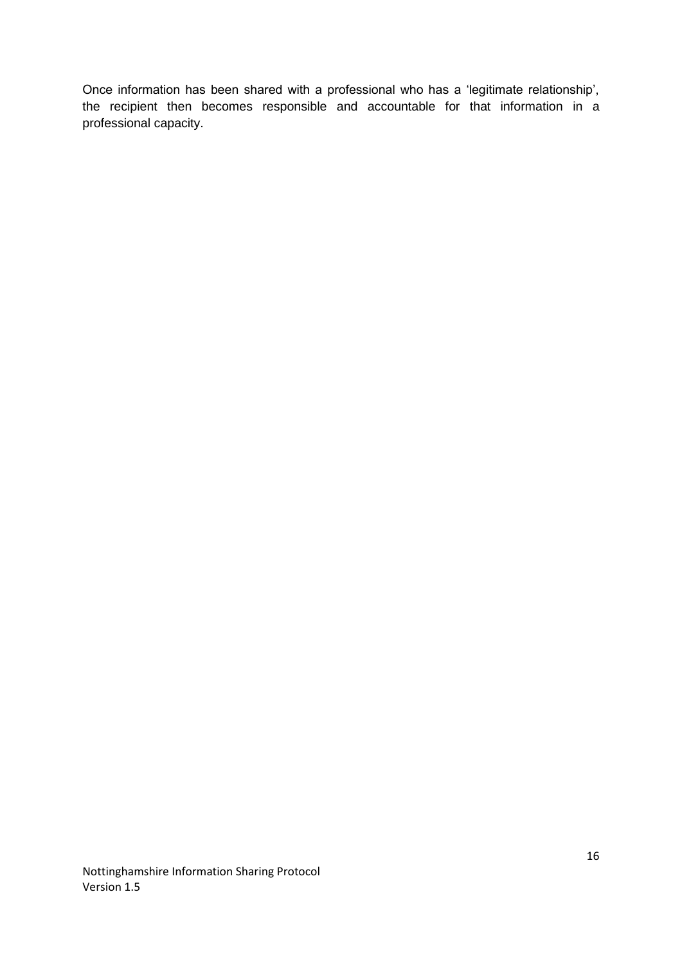Once information has been shared with a professional who has a 'legitimate relationship', the recipient then becomes responsible and accountable for that information in a professional capacity.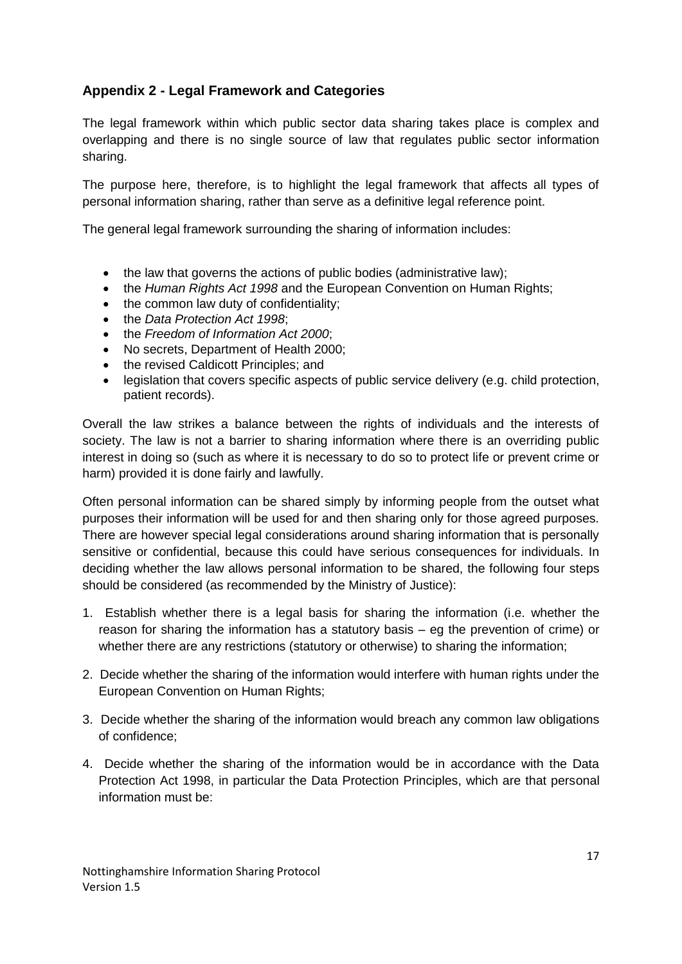# <span id="page-16-0"></span>**Appendix 2 - Legal Framework and Categories**

The legal framework within which public sector data sharing takes place is complex and overlapping and there is no single source of law that regulates public sector information sharing.

The purpose here, therefore, is to highlight the legal framework that affects all types of personal information sharing, rather than serve as a definitive legal reference point.

The general legal framework surrounding the sharing of information includes:

- the law that governs the actions of public bodies (administrative law);
- the *Human Rights Act 1998* and the European Convention on Human Rights;
- the common law duty of confidentiality;
- the *Data Protection Act 1998*;
- the *Freedom of Information Act 2000*;
- No secrets, Department of Health 2000;
- the revised Caldicott Principles; and
- legislation that covers specific aspects of public service delivery (e.g. child protection, patient records).

Overall the law strikes a balance between the rights of individuals and the interests of society. The law is not a barrier to sharing information where there is an overriding public interest in doing so (such as where it is necessary to do so to protect life or prevent crime or harm) provided it is done fairly and lawfully.

Often personal information can be shared simply by informing people from the outset what purposes their information will be used for and then sharing only for those agreed purposes. There are however special legal considerations around sharing information that is personally sensitive or confidential, because this could have serious consequences for individuals. In deciding whether the law allows personal information to be shared, the following four steps should be considered (as recommended by the Ministry of Justice):

- 1. Establish whether there is a legal basis for sharing the information (i.e. whether the reason for sharing the information has a statutory basis – eg the prevention of crime) or whether there are any restrictions (statutory or otherwise) to sharing the information;
- 2. Decide whether the sharing of the information would interfere with human rights under the European Convention on Human Rights;
- 3. Decide whether the sharing of the information would breach any common law obligations of confidence;
- 4. Decide whether the sharing of the information would be in accordance with the Data Protection Act 1998, in particular the Data Protection Principles, which are that personal information must be: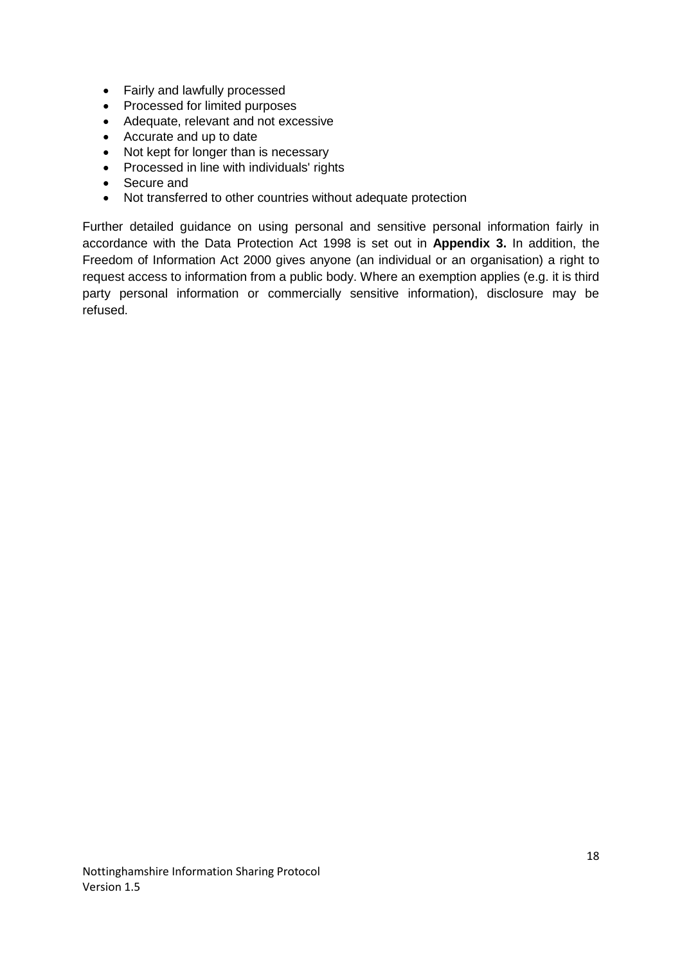- Fairly and lawfully processed
- Processed for limited purposes
- Adequate, relevant and not excessive
- Accurate and up to date
- Not kept for longer than is necessary
- Processed in line with individuals' rights
- Secure and
- Not transferred to other countries without adequate protection

Further detailed guidance on using personal and sensitive personal information fairly in accordance with the Data Protection Act 1998 is set out in **Appendix 3.** In addition, the Freedom of Information Act 2000 gives anyone (an individual or an organisation) a right to request access to information from a public body. Where an exemption applies (e.g. it is third party personal information or commercially sensitive information), disclosure may be refused.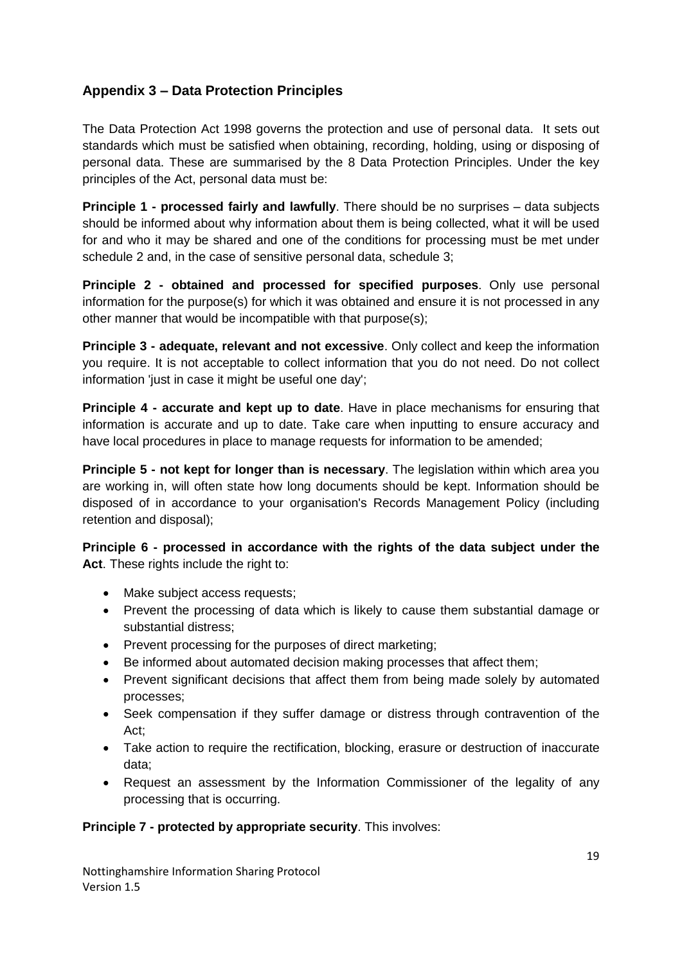# <span id="page-18-0"></span>**Appendix 3 – Data Protection Principles**

The Data Protection Act 1998 governs the protection and use of personal data. It sets out standards which must be satisfied when obtaining, recording, holding, using or disposing of personal data. These are summarised by the 8 Data Protection Principles. Under the key principles of the Act, personal data must be:

**Principle 1 - processed fairly and lawfully**. There should be no surprises – data subjects should be informed about why information about them is being collected, what it will be used for and who it may be shared and one of the conditions for processing must be met under schedule 2 and, in the case of sensitive personal data, schedule 3;

**Principle 2 - obtained and processed for specified purposes**. Only use personal information for the purpose(s) for which it was obtained and ensure it is not processed in any other manner that would be incompatible with that purpose(s);

**Principle 3 - adequate, relevant and not excessive**. Only collect and keep the information you require. It is not acceptable to collect information that you do not need. Do not collect information 'just in case it might be useful one day';

**Principle 4 - accurate and kept up to date**. Have in place mechanisms for ensuring that information is accurate and up to date. Take care when inputting to ensure accuracy and have local procedures in place to manage requests for information to be amended;

**Principle 5 - not kept for longer than is necessary**. The legislation within which area you are working in, will often state how long documents should be kept. Information should be disposed of in accordance to your organisation's Records Management Policy (including retention and disposal);

**Principle 6 - processed in accordance with the rights of the data subject under the Act**. These rights include the right to:

- Make subject access requests;
- Prevent the processing of data which is likely to cause them substantial damage or substantial distress;
- Prevent processing for the purposes of direct marketing;
- Be informed about automated decision making processes that affect them;
- Prevent significant decisions that affect them from being made solely by automated processes;
- Seek compensation if they suffer damage or distress through contravention of the Act;
- Take action to require the rectification, blocking, erasure or destruction of inaccurate data;
- Request an assessment by the Information Commissioner of the legality of any processing that is occurring.

## **Principle 7 - protected by appropriate security**. This involves:

Nottinghamshire Information Sharing Protocol Version 1.5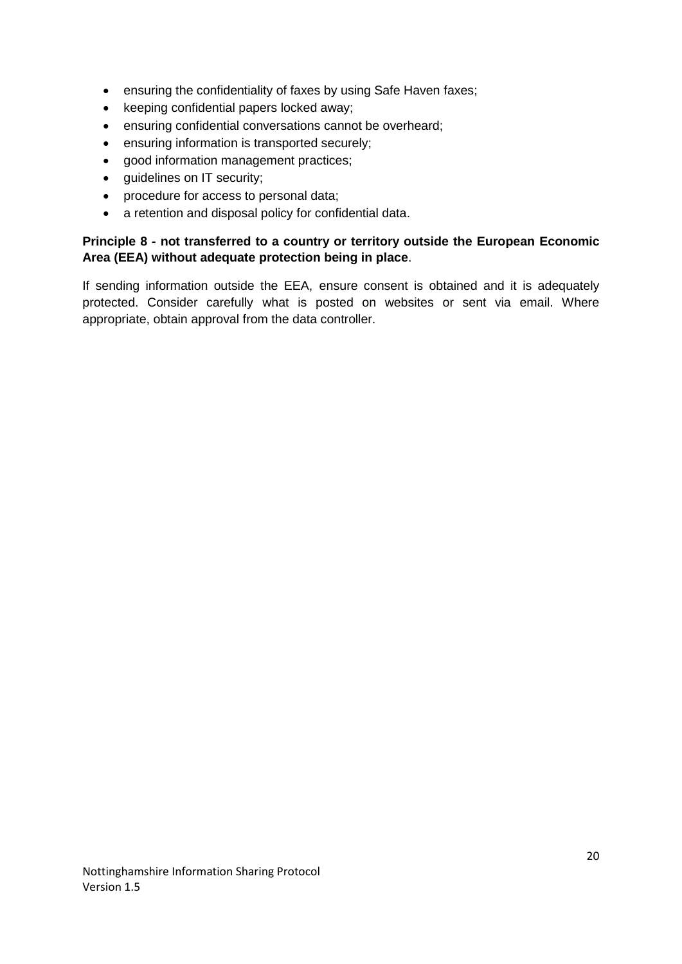- ensuring the confidentiality of faxes by using Safe Haven faxes;
- keeping confidential papers locked away;
- ensuring confidential conversations cannot be overheard;
- ensuring information is transported securely;
- good information management practices;
- guidelines on IT security;
- procedure for access to personal data;
- a retention and disposal policy for confidential data.

## **Principle 8 - not transferred to a country or territory outside the European Economic Area (EEA) without adequate protection being in place**.

If sending information outside the EEA, ensure consent is obtained and it is adequately protected. Consider carefully what is posted on websites or sent via email. Where appropriate, obtain approval from the data controller.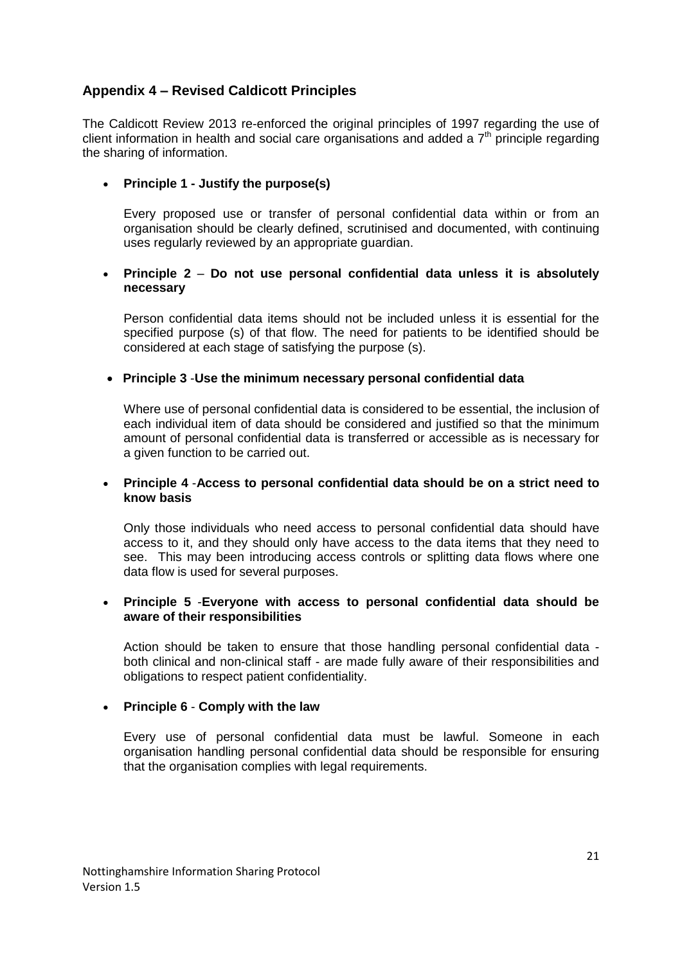# <span id="page-20-0"></span>**Appendix 4 – Revised Caldicott Principles**

The Caldicott Review 2013 re-enforced the original principles of 1997 regarding the use of client information in health and social care organisations and added a  $7<sup>th</sup>$  principle regarding the sharing of information.

## **Principle 1 - Justify the purpose(s)**

Every proposed use or transfer of personal confidential data within or from an organisation should be clearly defined, scrutinised and documented, with continuing uses regularly reviewed by an appropriate guardian.

## **Principle 2** – **Do not use personal confidential data unless it is absolutely necessary**

Person confidential data items should not be included unless it is essential for the specified purpose (s) of that flow. The need for patients to be identified should be considered at each stage of satisfying the purpose (s).

## **Principle 3** -**Use the minimum necessary personal confidential data**

Where use of personal confidential data is considered to be essential, the inclusion of each individual item of data should be considered and justified so that the minimum amount of personal confidential data is transferred or accessible as is necessary for a given function to be carried out.

## **Principle 4** -**Access to personal confidential data should be on a strict need to know basis**

Only those individuals who need access to personal confidential data should have access to it, and they should only have access to the data items that they need to see. This may been introducing access controls or splitting data flows where one data flow is used for several purposes.

## **Principle 5** -**Everyone with access to personal confidential data should be aware of their responsibilities**

Action should be taken to ensure that those handling personal confidential data both clinical and non-clinical staff - are made fully aware of their responsibilities and obligations to respect patient confidentiality.

## **Principle 6** - **Comply with the law**

Every use of personal confidential data must be lawful. Someone in each organisation handling personal confidential data should be responsible for ensuring that the organisation complies with legal requirements.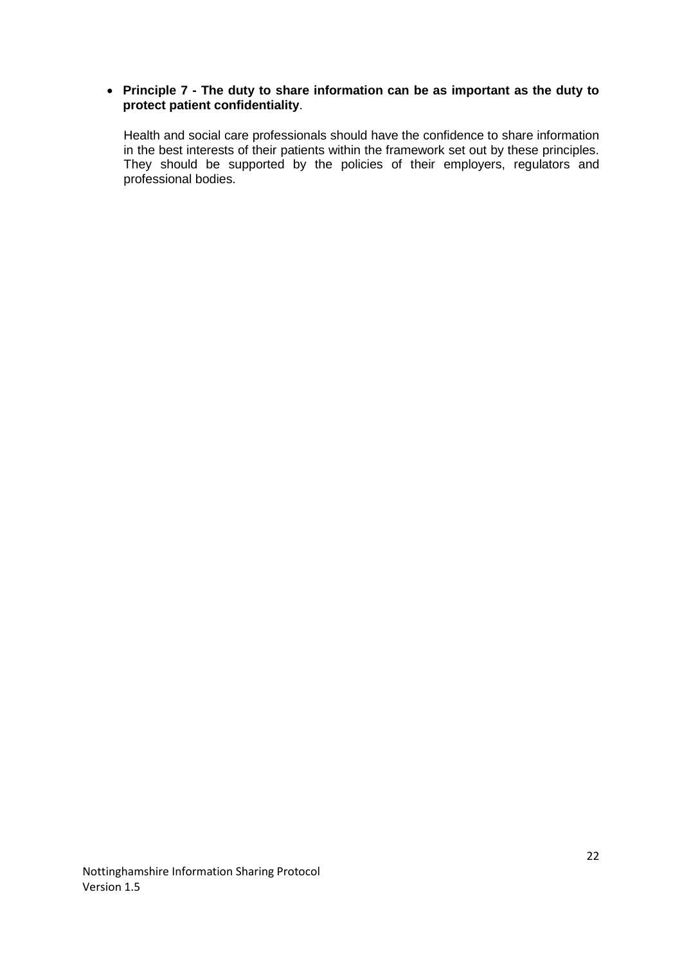## **Principle 7 - The duty to share information can be as important as the duty to protect patient confidentiality**.

 Health and social care professionals should have the confidence to share information in the best interests of their patients within the framework set out by these principles. They should be supported by the policies of their employers, regulators and professional bodies.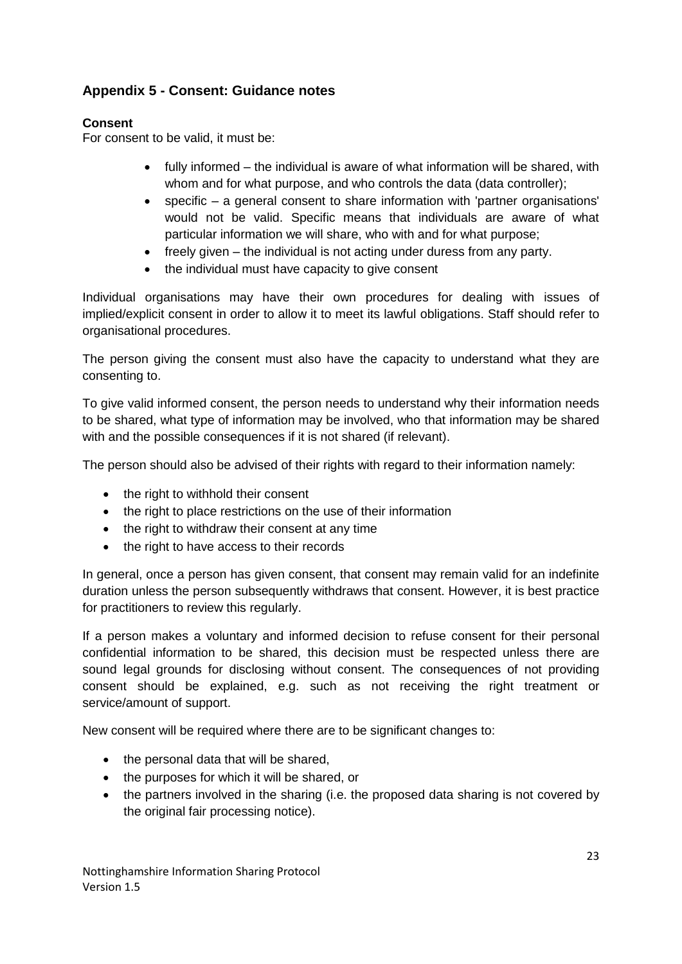# <span id="page-22-0"></span>**Appendix 5 - Consent: Guidance notes**

## **Consent**

For consent to be valid, it must be:

- $\bullet$  fully informed the individual is aware of what information will be shared, with whom and for what purpose, and who controls the data (data controller);
- specific a general consent to share information with 'partner organisations' would not be valid. Specific means that individuals are aware of what particular information we will share, who with and for what purpose;
- $\bullet$  freely given the individual is not acting under duress from any party.
- the individual must have capacity to give consent

Individual organisations may have their own procedures for dealing with issues of implied/explicit consent in order to allow it to meet its lawful obligations. Staff should refer to organisational procedures.

The person giving the consent must also have the capacity to understand what they are consenting to.

To give valid informed consent, the person needs to understand why their information needs to be shared, what type of information may be involved, who that information may be shared with and the possible consequences if it is not shared (if relevant).

The person should also be advised of their rights with regard to their information namely:

- the right to withhold their consent
- the right to place restrictions on the use of their information
- the right to withdraw their consent at any time
- the right to have access to their records

In general, once a person has given consent, that consent may remain valid for an indefinite duration unless the person subsequently withdraws that consent. However, it is best practice for practitioners to review this regularly.

If a person makes a voluntary and informed decision to refuse consent for their personal confidential information to be shared, this decision must be respected unless there are sound legal grounds for disclosing without consent. The consequences of not providing consent should be explained, e.g. such as not receiving the right treatment or service/amount of support.

New consent will be required where there are to be significant changes to:

- the personal data that will be shared,
- the purposes for which it will be shared, or
- the partners involved in the sharing (i.e. the proposed data sharing is not covered by the original fair processing notice).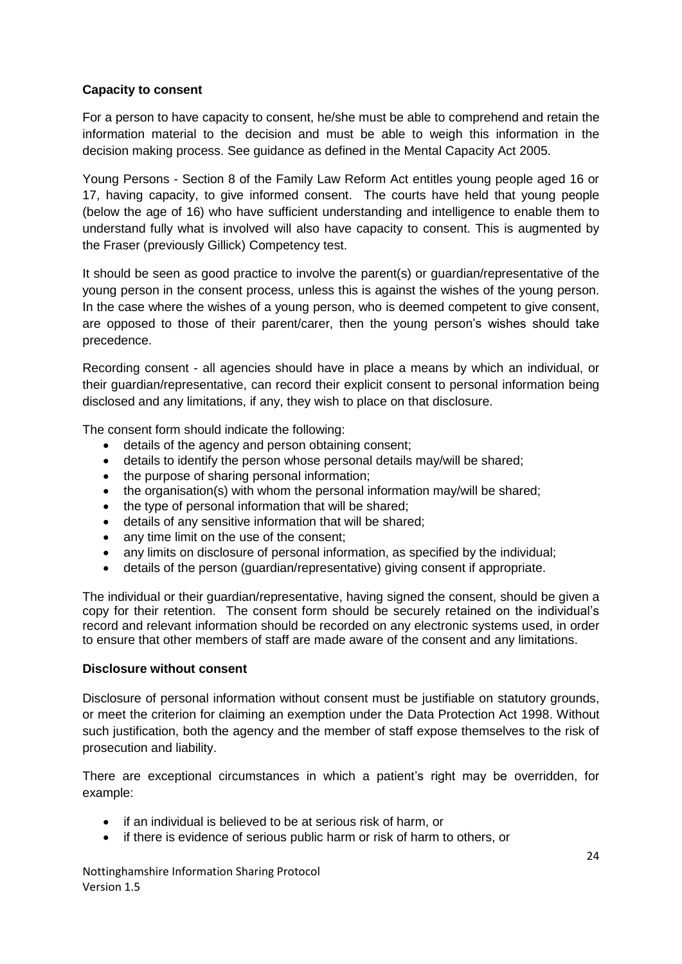## **Capacity to consent**

For a person to have capacity to consent, he/she must be able to comprehend and retain the information material to the decision and must be able to weigh this information in the decision making process. See guidance as defined in the Mental Capacity Act 2005.

Young Persons - Section 8 of the Family Law Reform Act entitles young people aged 16 or 17, having capacity, to give informed consent. The courts have held that young people (below the age of 16) who have sufficient understanding and intelligence to enable them to understand fully what is involved will also have capacity to consent. This is augmented by the Fraser (previously Gillick) Competency test.

It should be seen as good practice to involve the parent(s) or guardian/representative of the young person in the consent process, unless this is against the wishes of the young person. In the case where the wishes of a young person, who is deemed competent to give consent, are opposed to those of their parent/carer, then the young person's wishes should take precedence.

Recording consent - all agencies should have in place a means by which an individual, or their guardian/representative, can record their explicit consent to personal information being disclosed and any limitations, if any, they wish to place on that disclosure.

The consent form should indicate the following:

- details of the agency and person obtaining consent;
- details to identify the person whose personal details may/will be shared;
- the purpose of sharing personal information:
- the organisation(s) with whom the personal information may/will be shared;
- the type of personal information that will be shared;
- details of any sensitive information that will be shared;
- any time limit on the use of the consent;
- any limits on disclosure of personal information, as specified by the individual;
- details of the person (guardian/representative) giving consent if appropriate.

The individual or their guardian/representative, having signed the consent, should be given a copy for their retention. The consent form should be securely retained on the individual's record and relevant information should be recorded on any electronic systems used, in order to ensure that other members of staff are made aware of the consent and any limitations.

#### **Disclosure without consent**

Disclosure of personal information without consent must be justifiable on statutory grounds, or meet the criterion for claiming an exemption under the Data Protection Act 1998. Without such justification, both the agency and the member of staff expose themselves to the risk of prosecution and liability.

There are exceptional circumstances in which a patient's right may be overridden, for example:

- if an individual is believed to be at serious risk of harm, or
- if there is evidence of serious public harm or risk of harm to others, or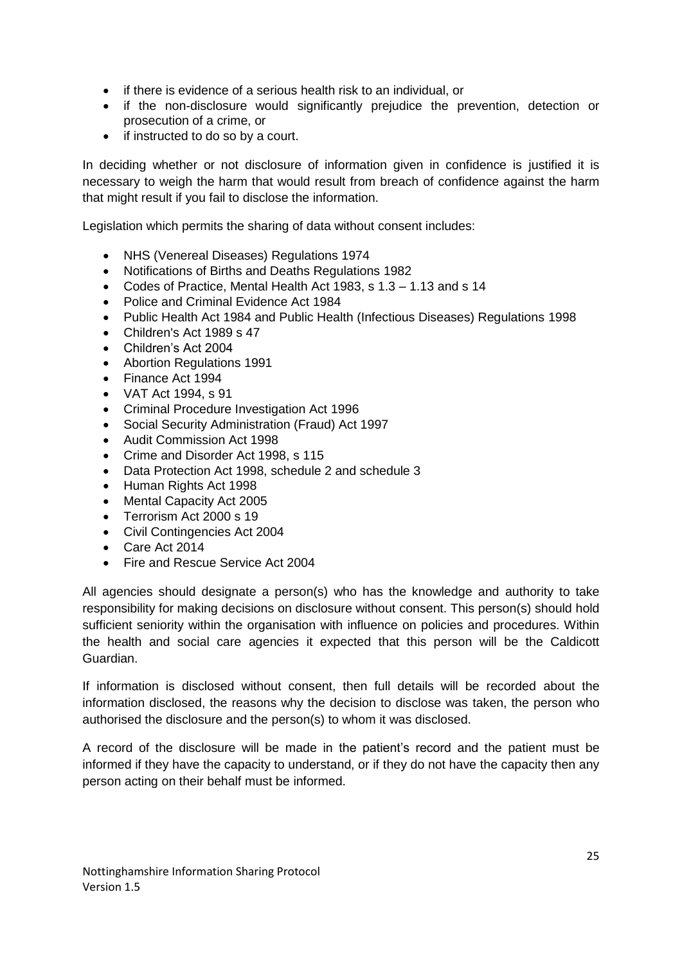- if there is evidence of a serious health risk to an individual, or
- if the non-disclosure would significantly prejudice the prevention, detection or prosecution of a crime, or
- if instructed to do so by a court.

In deciding whether or not disclosure of information given in confidence is justified it is necessary to weigh the harm that would result from breach of confidence against the harm that might result if you fail to disclose the information.

Legislation which permits the sharing of data without consent includes:

- NHS (Venereal Diseases) Regulations 1974
- Notifications of Births and Deaths Regulations 1982
- Codes of Practice, Mental Health Act 1983, s 1.3 1.13 and s 14
- Police and Criminal Evidence Act 1984
- Public Health Act 1984 and Public Health (Infectious Diseases) Regulations 1998
- Children's Act 1989 s 47
- Children's Act 2004
- Abortion Regulations 1991
- Finance Act 1994
- VAT Act 1994, s 91
- Criminal Procedure Investigation Act 1996
- Social Security Administration (Fraud) Act 1997
- Audit Commission Act 1998
- Crime and Disorder Act 1998, s 115
- Data Protection Act 1998, schedule 2 and schedule 3
- Human Rights Act 1998
- Mental Capacity Act 2005
- Terrorism Act 2000 s 19
- Civil Contingencies Act 2004
- Care Act 2014
- Fire and Rescue Service Act 2004

All agencies should designate a person(s) who has the knowledge and authority to take responsibility for making decisions on disclosure without consent. This person(s) should hold sufficient seniority within the organisation with influence on policies and procedures. Within the health and social care agencies it expected that this person will be the Caldicott Guardian.

If information is disclosed without consent, then full details will be recorded about the information disclosed, the reasons why the decision to disclose was taken, the person who authorised the disclosure and the person(s) to whom it was disclosed.

A record of the disclosure will be made in the patient's record and the patient must be informed if they have the capacity to understand, or if they do not have the capacity then any person acting on their behalf must be informed.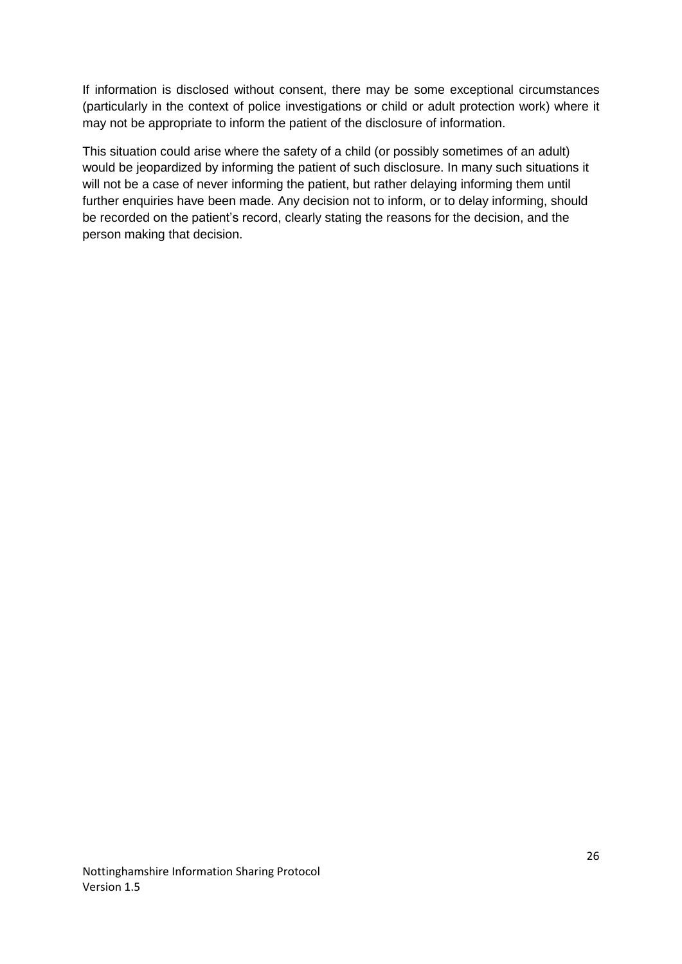If information is disclosed without consent, there may be some exceptional circumstances (particularly in the context of police investigations or child or adult protection work) where it may not be appropriate to inform the patient of the disclosure of information.

This situation could arise where the safety of a child (or possibly sometimes of an adult) would be jeopardized by informing the patient of such disclosure. In many such situations it will not be a case of never informing the patient, but rather delaying informing them until further enquiries have been made. Any decision not to inform, or to delay informing, should be recorded on the patient's record, clearly stating the reasons for the decision, and the person making that decision.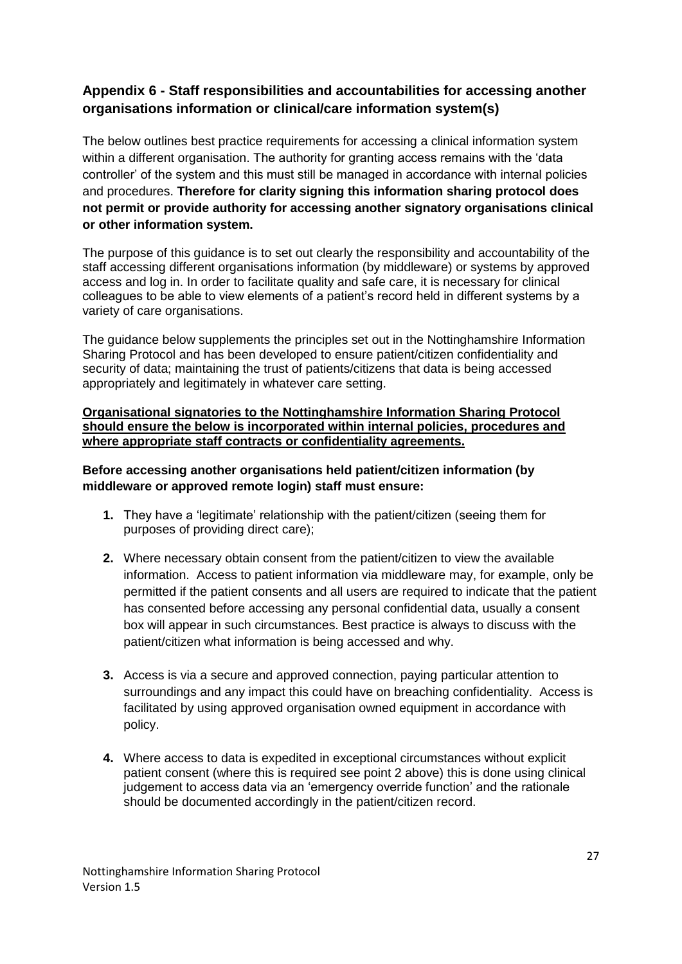# <span id="page-26-0"></span>**Appendix 6 - Staff responsibilities and accountabilities for accessing another organisations information or clinical/care information system(s)**

The below outlines best practice requirements for accessing a clinical information system within a different organisation. The authority for granting access remains with the 'data controller' of the system and this must still be managed in accordance with internal policies and procedures. **Therefore for clarity signing this information sharing protocol does not permit or provide authority for accessing another signatory organisations clinical or other information system.**

The purpose of this guidance is to set out clearly the responsibility and accountability of the staff accessing different organisations information (by middleware) or systems by approved access and log in. In order to facilitate quality and safe care, it is necessary for clinical colleagues to be able to view elements of a patient's record held in different systems by a variety of care organisations.

The guidance below supplements the principles set out in the Nottinghamshire Information Sharing Protocol and has been developed to ensure patient/citizen confidentiality and security of data; maintaining the trust of patients/citizens that data is being accessed appropriately and legitimately in whatever care setting.

**Organisational signatories to the Nottinghamshire Information Sharing Protocol should ensure the below is incorporated within internal policies, procedures and where appropriate staff contracts or confidentiality agreements.** 

## **Before accessing another organisations held patient/citizen information (by middleware or approved remote login) staff must ensure:**

- **1.** They have a 'legitimate' relationship with the patient/citizen (seeing them for purposes of providing direct care);
- **2.** Where necessary obtain consent from the patient/citizen to view the available information. Access to patient information via middleware may, for example, only be permitted if the patient consents and all users are required to indicate that the patient has consented before accessing any personal confidential data, usually a consent box will appear in such circumstances. Best practice is always to discuss with the patient/citizen what information is being accessed and why.
- **3.** Access is via a secure and approved connection, paying particular attention to surroundings and any impact this could have on breaching confidentiality. Access is facilitated by using approved organisation owned equipment in accordance with policy.
- **4.** Where access to data is expedited in exceptional circumstances without explicit patient consent (where this is required see point 2 above) this is done using clinical judgement to access data via an 'emergency override function' and the rationale should be documented accordingly in the patient/citizen record.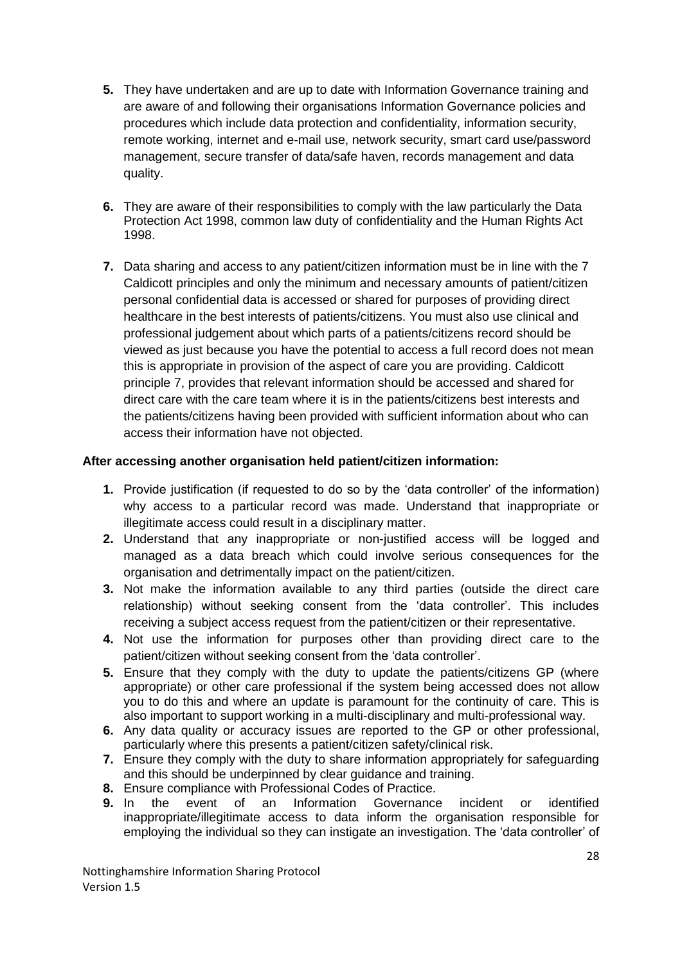- **5.** They have undertaken and are up to date with Information Governance training and are aware of and following their organisations Information Governance policies and procedures which include data protection and confidentiality, information security, remote working, internet and e-mail use, network security, smart card use/password management, secure transfer of data/safe haven, records management and data quality.
- **6.** They are aware of their responsibilities to comply with the law particularly the Data Protection Act 1998, common law duty of confidentiality and the Human Rights Act 1998.
- **7.** Data sharing and access to any patient/citizen information must be in line with the 7 Caldicott principles and only the minimum and necessary amounts of patient/citizen personal confidential data is accessed or shared for purposes of providing direct healthcare in the best interests of patients/citizens. You must also use clinical and professional judgement about which parts of a patients/citizens record should be viewed as just because you have the potential to access a full record does not mean this is appropriate in provision of the aspect of care you are providing. Caldicott principle 7, provides that relevant information should be accessed and shared for direct care with the care team where it is in the patients/citizens best interests and the patients/citizens having been provided with sufficient information about who can access their information have not objected.

## **After accessing another organisation held patient/citizen information:**

- **1.** Provide justification (if requested to do so by the 'data controller' of the information) why access to a particular record was made. Understand that inappropriate or illegitimate access could result in a disciplinary matter.
- **2.** Understand that any inappropriate or non-justified access will be logged and managed as a data breach which could involve serious consequences for the organisation and detrimentally impact on the patient/citizen.
- **3.** Not make the information available to any third parties (outside the direct care relationship) without seeking consent from the 'data controller'. This includes receiving a subject access request from the patient/citizen or their representative.
- **4.** Not use the information for purposes other than providing direct care to the patient/citizen without seeking consent from the 'data controller'.
- **5.** Ensure that they comply with the duty to update the patients/citizens GP (where appropriate) or other care professional if the system being accessed does not allow you to do this and where an update is paramount for the continuity of care. This is also important to support working in a multi-disciplinary and multi-professional way.
- **6.** Any data quality or accuracy issues are reported to the GP or other professional, particularly where this presents a patient/citizen safety/clinical risk.
- **7.** Ensure they comply with the duty to share information appropriately for safeguarding and this should be underpinned by clear guidance and training.
- **8.** Ensure compliance with Professional Codes of Practice.<br>**9.** In the event of an Information Governance
- **9.** In the event of an Information Governance incident or identified inappropriate/illegitimate access to data inform the organisation responsible for employing the individual so they can instigate an investigation. The 'data controller' of

Nottinghamshire Information Sharing Protocol Version 1.5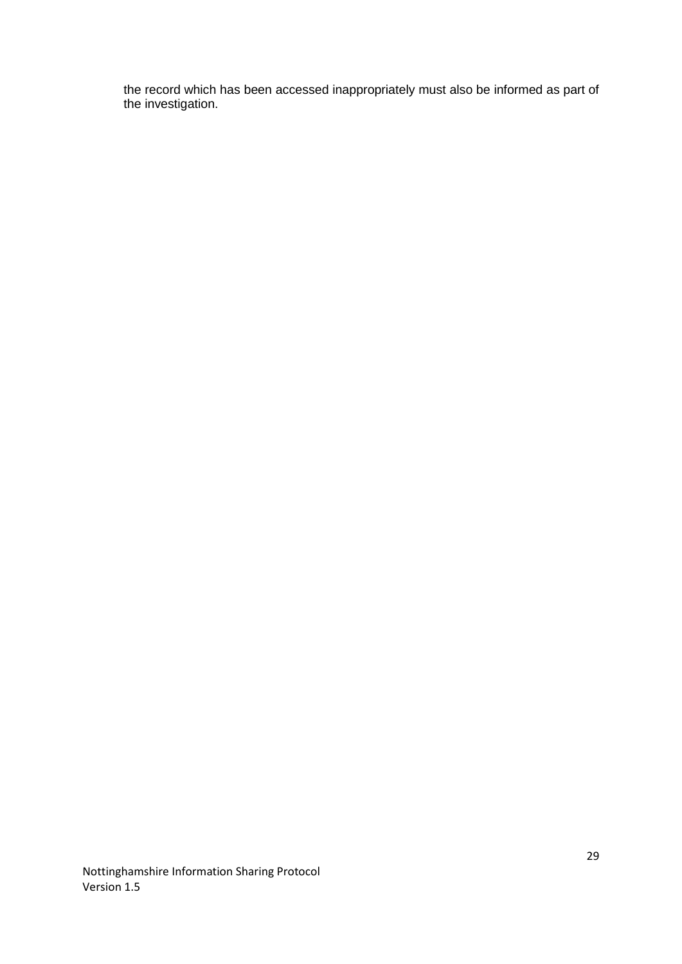the record which has been accessed inappropriately must also be informed as part of the investigation.